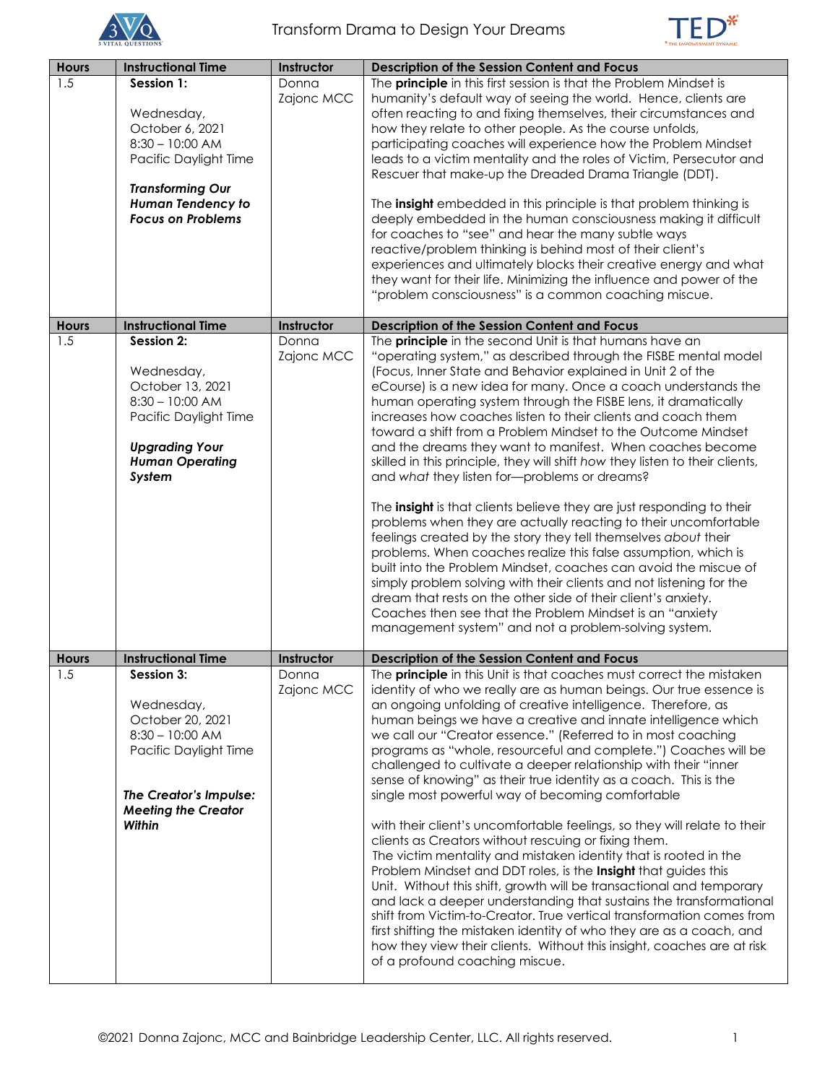



| <b>Hours</b> | <b>Instructional Time</b>  | Instructor | Description of the Session Content and Focus                                                                                         |
|--------------|----------------------------|------------|--------------------------------------------------------------------------------------------------------------------------------------|
| 1.5          | Session 1:                 | Donna      | The principle in this first session is that the Problem Mindset is                                                                   |
|              |                            | Zajonc MCC | humanity's default way of seeing the world. Hence, clients are                                                                       |
|              | Wednesday,                 |            | often reacting to and fixing themselves, their circumstances and                                                                     |
|              | October 6, 2021            |            | how they relate to other people. As the course unfolds,                                                                              |
|              | $8:30 - 10:00$ AM          |            | participating coaches will experience how the Problem Mindset                                                                        |
|              | Pacific Daylight Time      |            | leads to a victim mentality and the roles of Victim, Persecutor and                                                                  |
|              |                            |            | Rescuer that make-up the Dreaded Drama Triangle (DDT).                                                                               |
|              | <b>Transforming Our</b>    |            |                                                                                                                                      |
|              | <b>Human Tendency to</b>   |            | The insight embedded in this principle is that problem thinking is                                                                   |
|              | <b>Focus on Problems</b>   |            | deeply embedded in the human consciousness making it difficult                                                                       |
|              |                            |            | for coaches to "see" and hear the many subtle ways                                                                                   |
|              |                            |            | reactive/problem thinking is behind most of their client's                                                                           |
|              |                            |            | experiences and ultimately blocks their creative energy and what                                                                     |
|              |                            |            | they want for their life. Minimizing the influence and power of the                                                                  |
|              |                            |            | "problem consciousness" is a common coaching miscue.                                                                                 |
|              |                            |            |                                                                                                                                      |
| <b>Hours</b> | <b>Instructional Time</b>  | Instructor | Description of the Session Content and Focus                                                                                         |
| 1.5          | Session 2:                 | Donna      | The principle in the second Unit is that humans have an                                                                              |
|              |                            | Zajonc MCC | "operating system," as described through the FISBE mental model                                                                      |
|              | Wednesday,                 |            | (Focus, Inner State and Behavior explained in Unit 2 of the                                                                          |
|              | October 13, 2021           |            | eCourse) is a new idea for many. Once a coach understands the                                                                        |
|              | $8:30 - 10:00$ AM          |            | human operating system through the FISBE lens, it dramatically                                                                       |
|              | Pacific Daylight Time      |            | increases how coaches listen to their clients and coach them                                                                         |
|              |                            |            | toward a shift from a Problem Mindset to the Outcome Mindset                                                                         |
|              | <b>Upgrading Your</b>      |            | and the dreams they want to manifest. When coaches become                                                                            |
|              | <b>Human Operating</b>     |            | skilled in this principle, they will shift how they listen to their clients,                                                         |
|              | System                     |            | and what they listen for-problems or dreams?                                                                                         |
|              |                            |            |                                                                                                                                      |
|              |                            |            | The insight is that clients believe they are just responding to their                                                                |
|              |                            |            | problems when they are actually reacting to their uncomfortable                                                                      |
|              |                            |            | feelings created by the story they tell themselves about their                                                                       |
|              |                            |            | problems. When coaches realize this false assumption, which is                                                                       |
|              |                            |            | built into the Problem Mindset, coaches can avoid the miscue of                                                                      |
|              |                            |            | simply problem solving with their clients and not listening for the<br>dream that rests on the other side of their client's anxiety. |
|              |                            |            |                                                                                                                                      |
|              |                            |            | Coaches then see that the Problem Mindset is an "anxiety<br>management system" and not a problem-solving system.                     |
|              |                            |            |                                                                                                                                      |
| <b>Hours</b> | <b>Instructional Time</b>  | Instructor | Description of the Session Content and Focus                                                                                         |
| 1.5          | Session 3:                 | Donna      | The <b>principle</b> in this Unit is that coaches must correct the mistaken                                                          |
|              |                            | Zajonc MCC | identity of who we really are as human beings. Our true essence is                                                                   |
|              | Wednesday,                 |            | an ongoing unfolding of creative intelligence. Therefore, as                                                                         |
|              | October 20, 2021           |            | human beings we have a creative and innate intelligence which                                                                        |
|              | $8:30 - 10:00$ AM          |            | we call our "Creator essence." (Referred to in most coaching                                                                         |
|              | Pacific Daylight Time      |            | programs as "whole, resourceful and complete.") Coaches will be                                                                      |
|              |                            |            | challenged to cultivate a deeper relationship with their "inner                                                                      |
|              |                            |            | sense of knowing" as their true identity as a coach. This is the                                                                     |
|              | The Creator's Impulse:     |            | single most powerful way of becoming comfortable                                                                                     |
|              | <b>Meeting the Creator</b> |            |                                                                                                                                      |
|              | <b>Within</b>              |            | with their client's uncomfortable feelings, so they will relate to their                                                             |
|              |                            |            | clients as Creators without rescuing or fixing them.                                                                                 |
|              |                            |            | The victim mentality and mistaken identity that is rooted in the                                                                     |
|              |                            |            | Problem Mindset and DDT roles, is the Insight that guides this                                                                       |
|              |                            |            | Unit. Without this shift, growth will be transactional and temporary                                                                 |
|              |                            |            | and lack a deeper understanding that sustains the transformational                                                                   |
|              |                            |            | shift from Victim-to-Creator. True vertical transformation comes from                                                                |
|              |                            |            | first shifting the mistaken identity of who they are as a coach, and                                                                 |
|              |                            |            | how they view their clients. Without this insight, coaches are at risk                                                               |
|              |                            |            | of a profound coaching miscue.                                                                                                       |
|              |                            |            |                                                                                                                                      |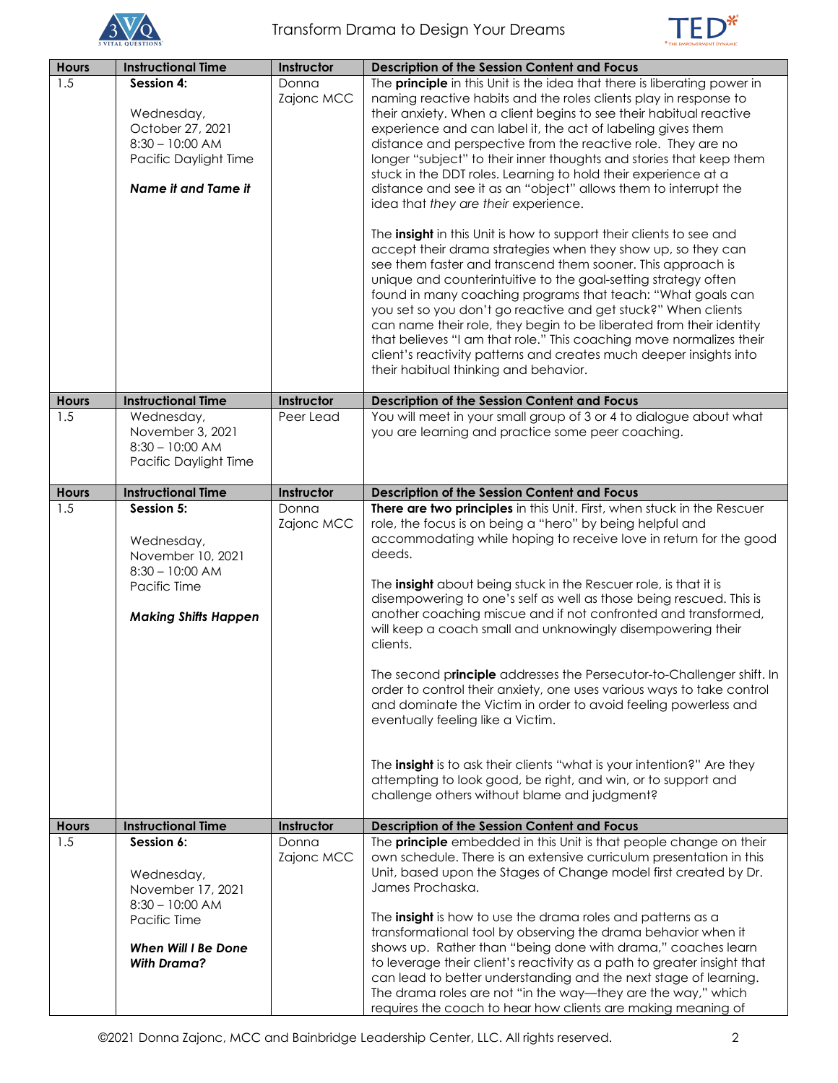



| <b>Hours</b> | <b>Instructional Time</b>              | Instructor | <b>Description of the Session Content and Focus</b>                                                                                        |
|--------------|----------------------------------------|------------|--------------------------------------------------------------------------------------------------------------------------------------------|
| 1.5          | Session 4:                             | Donna      | The <b>principle</b> in this Unit is the idea that there is liberating power in                                                            |
|              |                                        | Zajonc MCC | naming reactive habits and the roles clients play in response to                                                                           |
|              | Wednesday,                             |            | their anxiety. When a client begins to see their habitual reactive                                                                         |
|              | October 27, 2021                       |            | experience and can label it, the act of labeling gives them                                                                                |
|              | $8:30 - 10:00$ AM                      |            | distance and perspective from the reactive role. They are no                                                                               |
|              | Pacific Daylight Time                  |            | longer "subject" to their inner thoughts and stories that keep them                                                                        |
|              |                                        |            | stuck in the DDT roles. Learning to hold their experience at a                                                                             |
|              | Name it and Tame it                    |            | distance and see it as an "object" allows them to interrupt the<br>idea that they are their experience.                                    |
|              |                                        |            |                                                                                                                                            |
|              |                                        |            | The <b>insight</b> in this Unit is how to support their clients to see and                                                                 |
|              |                                        |            | accept their drama strategies when they show up, so they can                                                                               |
|              |                                        |            | see them faster and transcend them sooner. This approach is                                                                                |
|              |                                        |            | unique and counterintuitive to the goal-setting strategy often                                                                             |
|              |                                        |            | found in many coaching programs that teach: "What goals can                                                                                |
|              |                                        |            | you set so you don't go reactive and get stuck?" When clients                                                                              |
|              |                                        |            | can name their role, they begin to be liberated from their identity<br>that believes "I am that role." This coaching move normalizes their |
|              |                                        |            | client's reactivity patterns and creates much deeper insights into                                                                         |
|              |                                        |            | their habitual thinking and behavior.                                                                                                      |
|              |                                        |            |                                                                                                                                            |
| <b>Hours</b> | <b>Instructional Time</b>              | Instructor | <b>Description of the Session Content and Focus</b>                                                                                        |
| 1.5          | Wednesday,                             | Peer Lead  | You will meet in your small group of 3 or 4 to dialogue about what                                                                         |
|              | November 3, 2021<br>$8:30 - 10:00$ AM  |            | you are learning and practice some peer coaching.                                                                                          |
|              | Pacific Daylight Time                  |            |                                                                                                                                            |
|              |                                        |            |                                                                                                                                            |
| <b>Hours</b> | <b>Instructional Time</b>              | Instructor | Description of the Session Content and Focus                                                                                               |
| 1.5          | Session 5:                             | Donna      | There are two principles in this Unit. First, when stuck in the Rescuer                                                                    |
|              |                                        | Zajonc MCC | role, the focus is on being a "hero" by being helpful and                                                                                  |
|              | Wednesday,                             |            | accommodating while hoping to receive love in return for the good<br>deeds.                                                                |
|              | November 10, 2021<br>$8:30 - 10:00$ AM |            |                                                                                                                                            |
|              | Pacific Time                           |            | The <b>insight</b> about being stuck in the Rescuer role, is that it is                                                                    |
|              |                                        |            | disempowering to one's self as well as those being rescued. This is                                                                        |
|              | <b>Making Shifts Happen</b>            |            | another coaching miscue and if not confronted and transformed,                                                                             |
|              |                                        |            | will keep a coach small and unknowingly disempowering their                                                                                |
|              |                                        |            | clients.                                                                                                                                   |
|              |                                        |            | The second principle addresses the Persecutor-to-Challenger shift. In                                                                      |
|              |                                        |            | order to control their anxiety, one uses various ways to take control                                                                      |
|              |                                        |            | and dominate the Victim in order to avoid feeling powerless and                                                                            |
|              |                                        |            | eventually feeling like a Victim.                                                                                                          |
|              |                                        |            |                                                                                                                                            |
|              |                                        |            |                                                                                                                                            |
|              |                                        |            | The insight is to ask their clients "what is your intention?" Are they<br>attempting to look good, be right, and win, or to support and    |
|              |                                        |            | challenge others without blame and judgment?                                                                                               |
|              |                                        |            |                                                                                                                                            |
| <b>Hours</b> | <b>Instructional Time</b>              | Instructor | <b>Description of the Session Content and Focus</b>                                                                                        |
| 1.5          | Session 6:                             | Donna      | The <b>principle</b> embedded in this Unit is that people change on their                                                                  |
|              |                                        | Zajonc MCC | own schedule. There is an extensive curriculum presentation in this                                                                        |
|              | Wednesday,<br>November 17, 2021        |            | Unit, based upon the Stages of Change model first created by Dr.<br>James Prochaska.                                                       |
|              | $8:30 - 10:00$ AM                      |            |                                                                                                                                            |
|              | Pacific Time                           |            | The insight is how to use the drama roles and patterns as a                                                                                |
|              |                                        |            | transformational tool by observing the drama behavior when it                                                                              |
|              | <b>When Will I Be Done</b>             |            | shows up. Rather than "being done with drama," coaches learn                                                                               |
|              | <b>With Drama?</b>                     |            | to leverage their client's reactivity as a path to greater insight that                                                                    |
|              |                                        |            | can lead to better understanding and the next stage of learning.                                                                           |
|              |                                        |            | The drama roles are not "in the way—they are the way," which                                                                               |
|              |                                        |            | requires the coach to hear how clients are making meaning of                                                                               |